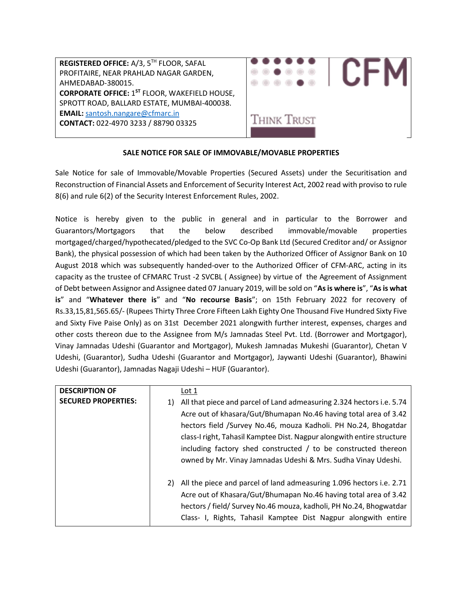

# SALE NOTICE FOR SALE OF IMMOVABLE/MOVABLE PROPERTIES

Sale Notice for sale of Immovable/Movable Properties (Secured Assets) under the Securitisation and Reconstruction of Financial Assets and Enforcement of Security Interest Act, 2002 read with proviso to rule 8(6) and rule 6(2) of the Security Interest Enforcement Rules, 2002.

Notice is hereby given to the public in general and in particular to the Borrower and Guarantors/Mortgagors that the below described immovable/movable properties mortgaged/charged/hypothecated/pledged to the SVC Co-Op Bank Ltd (Secured Creditor and/ or Assignor Bank), the physical possession of which had been taken by the Authorized Officer of Assignor Bank on 10 August 2018 which was subsequently handed-over to the Authorized Officer of CFM-ARC, acting in its capacity as the trustee of CFMARC Trust -2 SVCBL ( Assignee) by virtue of the Agreement of Assignment of Debt between Assignor and Assignee dated 07 January 2019, will be sold on "As is where is", "As is what is" and "Whatever there is" and "No recourse Basis"; on 15th February 2022 for recovery of Rs.33,15,81,565.65/- (Rupees Thirty Three Crore Fifteen Lakh Eighty One Thousand Five Hundred Sixty Five and Sixty Five Paise Only) as on 31st December 2021 alongwith further interest, expenses, charges and other costs thereon due to the Assignee from M/s Jamnadas Steel Pvt. Ltd. (Borrower and Mortgagor), Vinay Jamnadas Udeshi (Guarantor and Mortgagor), Mukesh Jamnadas Mukeshi (Guarantor), Chetan V Udeshi, (Guarantor), Sudha Udeshi (Guarantor and Mortgagor), Jaywanti Udeshi (Guarantor), Bhawini Udeshi (Guarantor), Jamnadas Nagaji Udeshi – HUF (Guarantor).

| <b>DESCRIPTION OF</b>      |    | Lot 1                                                                  |
|----------------------------|----|------------------------------------------------------------------------|
| <b>SECURED PROPERTIES:</b> | 1) | All that piece and parcel of Land admeasuring 2.324 hectors i.e. 5.74  |
|                            |    | Acre out of khasara/Gut/Bhumapan No.46 having total area of 3.42       |
|                            |    | hectors field /Survey No.46, mouza Kadholi. PH No.24, Bhogatdar        |
|                            |    | class-I right, Tahasil Kamptee Dist. Nagpur alongwith entire structure |
|                            |    | including factory shed constructed / to be constructed thereon         |
|                            |    | owned by Mr. Vinay Jamnadas Udeshi & Mrs. Sudha Vinay Udeshi.          |
|                            |    |                                                                        |
|                            | 2) | All the piece and parcel of land admeasuring 1.096 hectors i.e. 2.71   |
|                            |    | Acre out of Khasara/Gut/Bhumapan No.46 having total area of 3.42       |
|                            |    | hectors / field/ Survey No.46 mouza, kadholi, PH No.24, Bhogwatdar     |
|                            |    | Class- I, Rights, Tahasil Kamptee Dist Nagpur alongwith entire         |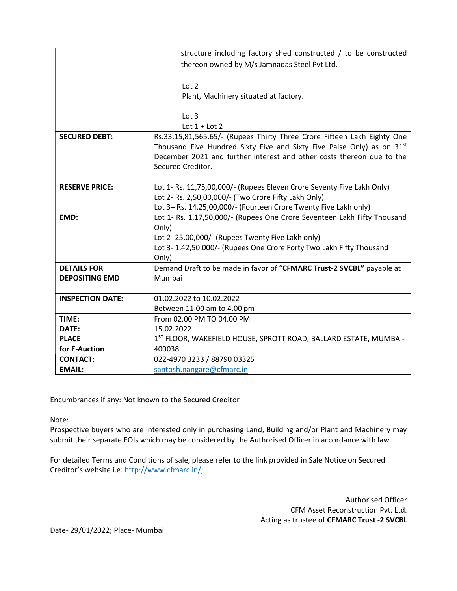|                         | structure including factory shed constructed / to be constructed                   |
|-------------------------|------------------------------------------------------------------------------------|
|                         | thereon owned by M/s Jamnadas Steel Pvt Ltd.                                       |
|                         |                                                                                    |
|                         | Lot 2                                                                              |
|                         | Plant, Machinery situated at factory.                                              |
|                         |                                                                                    |
|                         | Lot 3                                                                              |
|                         | Lot $1 +$ Lot 2                                                                    |
| <b>SECURED DEBT:</b>    | Rs.33,15,81,565.65/- (Rupees Thirty Three Crore Fifteen Lakh Eighty One            |
|                         | Thousand Five Hundred Sixty Five and Sixty Five Paise Only) as on 31 <sup>st</sup> |
|                         | December 2021 and further interest and other costs thereon due to the              |
|                         | Secured Creditor.                                                                  |
|                         |                                                                                    |
| <b>RESERVE PRICE:</b>   | Lot 1- Rs. 11,75,00,000/- (Rupees Eleven Crore Seventy Five Lakh Only)             |
|                         | Lot 2- Rs. 2,50,00,000/- (Two Crore Fifty Lakh Only)                               |
|                         | Lot 3-Rs. 14,25,00,000/- (Fourteen Crore Twenty Five Lakh only)                    |
| EMD:                    | Lot 1- Rs. 1,17,50,000/- (Rupees One Crore Seventeen Lakh Fifty Thousand           |
|                         | Only)                                                                              |
|                         | Lot 2-25,00,000/- (Rupees Twenty Five Lakh only)                                   |
|                         | Lot 3-1,42,50,000/- (Rupees One Crore Forty Two Lakh Fifty Thousand                |
|                         | Only)                                                                              |
| <b>DETAILS FOR</b>      | Demand Draft to be made in favor of "CFMARC Trust-2 SVCBL" payable at<br>Mumbai    |
| <b>DEPOSITING EMD</b>   |                                                                                    |
| <b>INSPECTION DATE:</b> | 01.02.2022 to 10.02.2022                                                           |
|                         | Between 11.00 am to 4.00 pm                                                        |
| TIME:                   | From 02.00 PM TO 04.00 PM                                                          |
| DATE:                   | 15.02.2022                                                                         |
| <b>PLACE</b>            | 1 <sup>ST</sup> FLOOR, WAKEFIELD HOUSE, SPROTT ROAD, BALLARD ESTATE, MUMBAI-       |
| for E-Auction           | 400038                                                                             |
| <b>CONTACT:</b>         | 022-4970 3233 / 88790 03325                                                        |
| <b>EMAIL:</b>           | santosh.nangare@cfmarc.in                                                          |

Encumbrances if any: Not known to the Secured Creditor

Note:

Prospective buyers who are interested only in purchasing Land, Building and/or Plant and Machinery may submit their separate EOIs which may be considered by the Authorised Officer in accordance with law.

For detailed Terms and Conditions of sale, please refer to the link provided in Sale Notice on Secured Creditor's website i.e. http://www.cfmarc.in/;

> Authorised Officer CFM Asset Reconstruction Pvt. Ltd. Acting as trustee of CFMARC Trust -2 SVCBL

Date- 29/01/2022; Place- Mumbai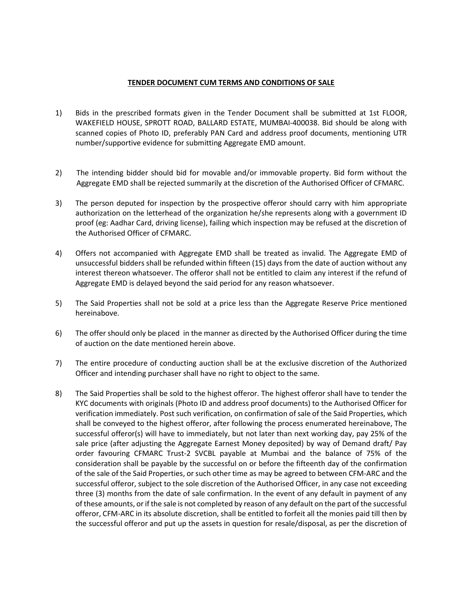### TENDER DOCUMENT CUM TERMS AND CONDITIONS OF SALE

- 1) Bids in the prescribed formats given in the Tender Document shall be submitted at 1st FLOOR, WAKEFIELD HOUSE, SPROTT ROAD, BALLARD ESTATE, MUMBAI-400038. Bid should be along with scanned copies of Photo ID, preferably PAN Card and address proof documents, mentioning UTR number/supportive evidence for submitting Aggregate EMD amount.
- 2) The intending bidder should bid for movable and/or immovable property. Bid form without the Aggregate EMD shall be rejected summarily at the discretion of the Authorised Officer of CFMARC.
- 3) The person deputed for inspection by the prospective offeror should carry with him appropriate authorization on the letterhead of the organization he/she represents along with a government ID proof (eg: Aadhar Card, driving license), failing which inspection may be refused at the discretion of the Authorised Officer of CFMARC.
- 4) Offers not accompanied with Aggregate EMD shall be treated as invalid. The Aggregate EMD of unsuccessful bidders shall be refunded within fifteen (15) days from the date of auction without any interest thereon whatsoever. The offeror shall not be entitled to claim any interest if the refund of Aggregate EMD is delayed beyond the said period for any reason whatsoever.
- 5) The Said Properties shall not be sold at a price less than the Aggregate Reserve Price mentioned hereinabove.
- 6) The offer should only be placed in the manner as directed by the Authorised Officer during the time of auction on the date mentioned herein above.
- 7) The entire procedure of conducting auction shall be at the exclusive discretion of the Authorized Officer and intending purchaser shall have no right to object to the same.
- 8) The Said Properties shall be sold to the highest offeror. The highest offeror shall have to tender the KYC documents with originals (Photo ID and address proof documents) to the Authorised Officer for verification immediately. Post such verification, on confirmation of sale of the Said Properties, which shall be conveyed to the highest offeror, after following the process enumerated hereinabove, The successful offeror(s) will have to immediately, but not later than next working day, pay 25% of the sale price (after adjusting the Aggregate Earnest Money deposited) by way of Demand draft/ Pay order favouring CFMARC Trust-2 SVCBL payable at Mumbai and the balance of 75% of the consideration shall be payable by the successful on or before the fifteenth day of the confirmation of the sale of the Said Properties, or such other time as may be agreed to between CFM-ARC and the successful offeror, subject to the sole discretion of the Authorised Officer, in any case not exceeding three (3) months from the date of sale confirmation. In the event of any default in payment of any of these amounts, or if the sale is not completed by reason of any default on the part of the successful offeror, CFM-ARC in its absolute discretion, shall be entitled to forfeit all the monies paid till then by the successful offeror and put up the assets in question for resale/disposal, as per the discretion of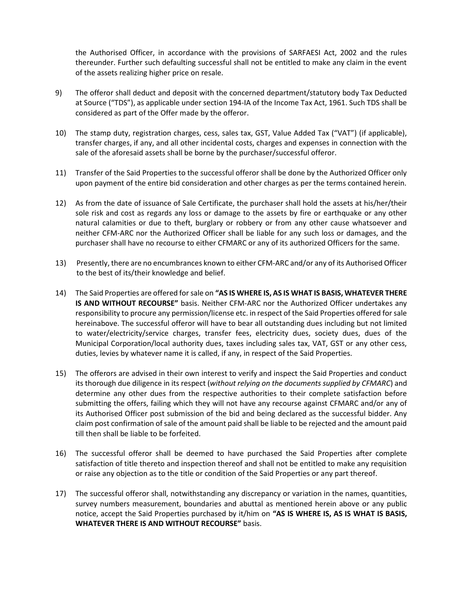the Authorised Officer, in accordance with the provisions of SARFAESI Act, 2002 and the rules thereunder. Further such defaulting successful shall not be entitled to make any claim in the event of the assets realizing higher price on resale.

- 9) The offeror shall deduct and deposit with the concerned department/statutory body Tax Deducted at Source ("TDS"), as applicable under section 194-IA of the Income Tax Act, 1961. Such TDS shall be considered as part of the Offer made by the offeror.
- 10) The stamp duty, registration charges, cess, sales tax, GST, Value Added Tax ("VAT") (if applicable), transfer charges, if any, and all other incidental costs, charges and expenses in connection with the sale of the aforesaid assets shall be borne by the purchaser/successful offeror.
- 11) Transfer of the Said Properties to the successful offeror shall be done by the Authorized Officer only upon payment of the entire bid consideration and other charges as per the terms contained herein.
- 12) As from the date of issuance of Sale Certificate, the purchaser shall hold the assets at his/her/their sole risk and cost as regards any loss or damage to the assets by fire or earthquake or any other natural calamities or due to theft, burglary or robbery or from any other cause whatsoever and neither CFM-ARC nor the Authorized Officer shall be liable for any such loss or damages, and the purchaser shall have no recourse to either CFMARC or any of its authorized Officers for the same.
- 13) Presently, there are no encumbrances known to either CFM-ARC and/or any of its Authorised Officer to the best of its/their knowledge and belief.
- 14) The Said Properties are offered for sale on "AS IS WHERE IS, AS IS WHAT IS BASIS, WHATEVER THERE IS AND WITHOUT RECOURSE" basis. Neither CFM-ARC nor the Authorized Officer undertakes any responsibility to procure any permission/license etc. in respect of the Said Properties offered for sale hereinabove. The successful offeror will have to bear all outstanding dues including but not limited to water/electricity/service charges, transfer fees, electricity dues, society dues, dues of the Municipal Corporation/local authority dues, taxes including sales tax, VAT, GST or any other cess, duties, levies by whatever name it is called, if any, in respect of the Said Properties.
- 15) The offerors are advised in their own interest to verify and inspect the Said Properties and conduct its thorough due diligence in its respect (without relying on the documents supplied by CFMARC) and determine any other dues from the respective authorities to their complete satisfaction before submitting the offers, failing which they will not have any recourse against CFMARC and/or any of its Authorised Officer post submission of the bid and being declared as the successful bidder. Any claim post confirmation of sale of the amount paid shall be liable to be rejected and the amount paid till then shall be liable to be forfeited.
- 16) The successful offeror shall be deemed to have purchased the Said Properties after complete satisfaction of title thereto and inspection thereof and shall not be entitled to make any requisition or raise any objection as to the title or condition of the Said Properties or any part thereof.
- 17) The successful offeror shall, notwithstanding any discrepancy or variation in the names, quantities, survey numbers measurement, boundaries and abuttal as mentioned herein above or any public notice, accept the Said Properties purchased by it/him on "AS IS WHERE IS, AS IS WHAT IS BASIS, WHATEVER THERE IS AND WITHOUT RECOURSE" basis.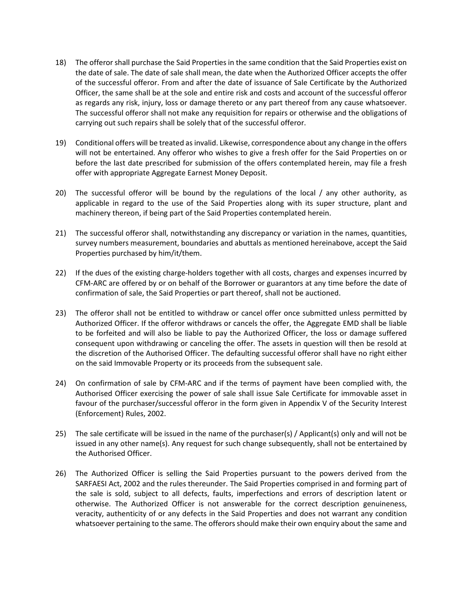- 18) The offeror shall purchase the Said Properties in the same condition that the Said Properties exist on the date of sale. The date of sale shall mean, the date when the Authorized Officer accepts the offer of the successful offeror. From and after the date of issuance of Sale Certificate by the Authorized Officer, the same shall be at the sole and entire risk and costs and account of the successful offeror as regards any risk, injury, loss or damage thereto or any part thereof from any cause whatsoever. The successful offeror shall not make any requisition for repairs or otherwise and the obligations of carrying out such repairs shall be solely that of the successful offeror.
- 19) Conditional offers will be treated as invalid. Likewise, correspondence about any change in the offers will not be entertained. Any offeror who wishes to give a fresh offer for the Said Properties on or before the last date prescribed for submission of the offers contemplated herein, may file a fresh offer with appropriate Aggregate Earnest Money Deposit.
- 20) The successful offeror will be bound by the regulations of the local / any other authority, as applicable in regard to the use of the Said Properties along with its super structure, plant and machinery thereon, if being part of the Said Properties contemplated herein.
- 21) The successful offeror shall, notwithstanding any discrepancy or variation in the names, quantities, survey numbers measurement, boundaries and abuttals as mentioned hereinabove, accept the Said Properties purchased by him/it/them.
- 22) If the dues of the existing charge-holders together with all costs, charges and expenses incurred by CFM-ARC are offered by or on behalf of the Borrower or guarantors at any time before the date of confirmation of sale, the Said Properties or part thereof, shall not be auctioned.
- 23) The offeror shall not be entitled to withdraw or cancel offer once submitted unless permitted by Authorized Officer. If the offeror withdraws or cancels the offer, the Aggregate EMD shall be liable to be forfeited and will also be liable to pay the Authorized Officer, the loss or damage suffered consequent upon withdrawing or canceling the offer. The assets in question will then be resold at the discretion of the Authorised Officer. The defaulting successful offeror shall have no right either on the said Immovable Property or its proceeds from the subsequent sale.
- 24) On confirmation of sale by CFM-ARC and if the terms of payment have been complied with, the Authorised Officer exercising the power of sale shall issue Sale Certificate for immovable asset in favour of the purchaser/successful offeror in the form given in Appendix V of the Security Interest (Enforcement) Rules, 2002.
- 25) The sale certificate will be issued in the name of the purchaser(s) / Applicant(s) only and will not be issued in any other name(s). Any request for such change subsequently, shall not be entertained by the Authorised Officer.
- 26) The Authorized Officer is selling the Said Properties pursuant to the powers derived from the SARFAESI Act, 2002 and the rules thereunder. The Said Properties comprised in and forming part of the sale is sold, subject to all defects, faults, imperfections and errors of description latent or otherwise. The Authorized Officer is not answerable for the correct description genuineness, veracity, authenticity of or any defects in the Said Properties and does not warrant any condition whatsoever pertaining to the same. The offerors should make their own enquiry about the same and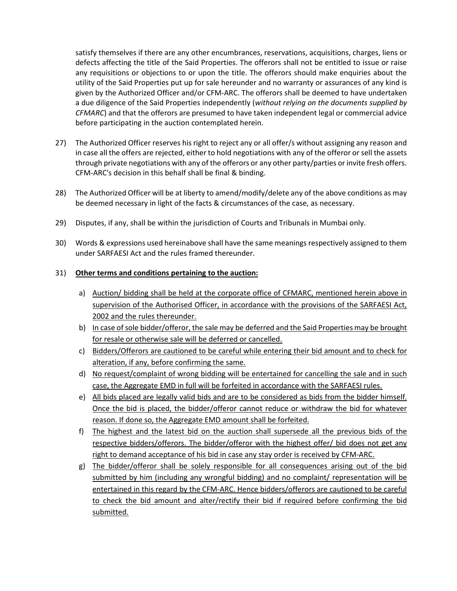satisfy themselves if there are any other encumbrances, reservations, acquisitions, charges, liens or defects affecting the title of the Said Properties. The offerors shall not be entitled to issue or raise any requisitions or objections to or upon the title. The offerors should make enquiries about the utility of the Said Properties put up for sale hereunder and no warranty or assurances of any kind is given by the Authorized Officer and/or CFM-ARC. The offerors shall be deemed to have undertaken a due diligence of the Said Properties independently (without relying on the documents supplied by CFMARC) and that the offerors are presumed to have taken independent legal or commercial advice before participating in the auction contemplated herein.

- 27) The Authorized Officer reserves his right to reject any or all offer/s without assigning any reason and in case all the offers are rejected, either to hold negotiations with any of the offeror or sell the assets through private negotiations with any of the offerors or any other party/parties or invite fresh offers. CFM-ARC's decision in this behalf shall be final & binding.
- 28) The Authorized Officer will be at liberty to amend/modify/delete any of the above conditions as may be deemed necessary in light of the facts & circumstances of the case, as necessary.
- 29) Disputes, if any, shall be within the jurisdiction of Courts and Tribunals in Mumbai only.
- 30) Words & expressions used hereinabove shall have the same meanings respectively assigned to them under SARFAESI Act and the rules framed thereunder.

### 31) Other terms and conditions pertaining to the auction:

- a) Auction/ bidding shall be held at the corporate office of CFMARC, mentioned herein above in supervision of the Authorised Officer, in accordance with the provisions of the SARFAESI Act, 2002 and the rules thereunder.
- b) In case of sole bidder/offeror, the sale may be deferred and the Said Properties may be brought for resale or otherwise sale will be deferred or cancelled.
- c) Bidders/Offerors are cautioned to be careful while entering their bid amount and to check for alteration, if any, before confirming the same.
- d) No request/complaint of wrong bidding will be entertained for cancelling the sale and in such case, the Aggregate EMD in full will be forfeited in accordance with the SARFAESI rules.
- e) All bids placed are legally valid bids and are to be considered as bids from the bidder himself. Once the bid is placed, the bidder/offeror cannot reduce or withdraw the bid for whatever reason. If done so, the Aggregate EMD amount shall be forfeited.
- f) The highest and the latest bid on the auction shall supersede all the previous bids of the respective bidders/offerors. The bidder/offeror with the highest offer/ bid does not get any right to demand acceptance of his bid in case any stay order is received by CFM-ARC.
- g) The bidder/offeror shall be solely responsible for all consequences arising out of the bid submitted by him (including any wrongful bidding) and no complaint/ representation will be entertained in this regard by the CFM-ARC. Hence bidders/offerors are cautioned to be careful to check the bid amount and alter/rectify their bid if required before confirming the bid submitted.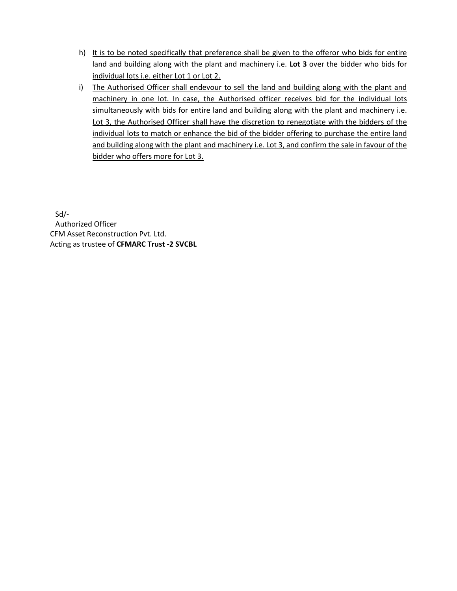- h) It is to be noted specifically that preference shall be given to the offeror who bids for entire land and building along with the plant and machinery i.e. Lot 3 over the bidder who bids for individual lots i.e. either Lot 1 or Lot 2.
- i) The Authorised Officer shall endevour to sell the land and building along with the plant and machinery in one lot. In case, the Authorised officer receives bid for the individual lots simultaneously with bids for entire land and building along with the plant and machinery i.e. Lot 3, the Authorised Officer shall have the discretion to renegotiate with the bidders of the individual lots to match or enhance the bid of the bidder offering to purchase the entire land and building along with the plant and machinery i.e. Lot 3, and confirm the sale in favour of the bidder who offers more for Lot 3.

Sd/- Authorized Officer CFM Asset Reconstruction Pvt. Ltd. Acting as trustee of CFMARC Trust -2 SVCBL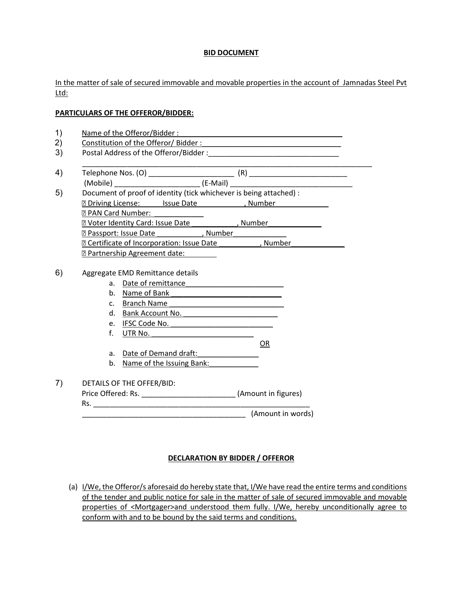## BID DOCUMENT

In the matter of sale of secured immovable and movable properties in the account of Jamnadas Steel Pvt Ltd:

### PARTICULARS OF THE OFFEROR/BIDDER:

| Document of proof of identity (tick whichever is being attached) :                                                                                                                                                                 |                                              |
|------------------------------------------------------------------------------------------------------------------------------------------------------------------------------------------------------------------------------------|----------------------------------------------|
| <b>n</b> Driving License: Issue Date ______________, Number                                                                                                                                                                        |                                              |
| <b>Z PAN Card Number:</b> 2009                                                                                                                                                                                                     |                                              |
| <b>EXPLORER Voter Identity Card: Issue Date</b> (and a set of the system of the system of the system of the system of the system of the system of the system of the system of the system of the system of the system of the system |                                              |
| <b>Example 2 Passport: Issue Date</b> The Control of August 2 Number 2 August 2 Number 2 2 August 2 Number 2 2 2 August 2 Number                                                                                                   |                                              |
| <b>EXECUTE: CONTROVER EXECUTE: CONTROVER EXECUTE:</b> Contribute to the Contract of Incorporation: ISSN 0.000 EXECUTE:                                                                                                             |                                              |
| <b>E Partnership Agreement date:</b>                                                                                                                                                                                               |                                              |
|                                                                                                                                                                                                                                    |                                              |
| Aggregate EMD Remittance details                                                                                                                                                                                                   |                                              |
|                                                                                                                                                                                                                                    |                                              |
| b. Name of Bank 1999 and the Name of Bank                                                                                                                                                                                          |                                              |
| c. Branch Name                                                                                                                                                                                                                     |                                              |
| d. Bank Account No.<br>e.                                                                                                                                                                                                          |                                              |
| IFSC Code No.<br>f.<br>UTR No. $\qquad \qquad$                                                                                                                                                                                     |                                              |
|                                                                                                                                                                                                                                    | 0R                                           |
| Date of Demand draft: 1997 - 1998<br>a.                                                                                                                                                                                            |                                              |
| b. Name of the Issuing Bank:                                                                                                                                                                                                       |                                              |
|                                                                                                                                                                                                                                    |                                              |
| DETAILS OF THE OFFER/BID:                                                                                                                                                                                                          |                                              |
| Price Offered: Rs. __________________________________(Amount in figures)                                                                                                                                                           |                                              |
|                                                                                                                                                                                                                                    |                                              |
|                                                                                                                                                                                                                                    | __________________________ (Amount in words) |
|                                                                                                                                                                                                                                    |                                              |

# DECLARATION BY BIDDER / OFFEROR

(a) I/We, the Offeror/s aforesaid do hereby state that, I/We have read the entire terms and conditions of the tender and public notice for sale in the matter of sale of secured immovable and movable properties of <Mortgager>and understood them fully. I/We, hereby unconditionally agree to conform with and to be bound by the said terms and conditions.